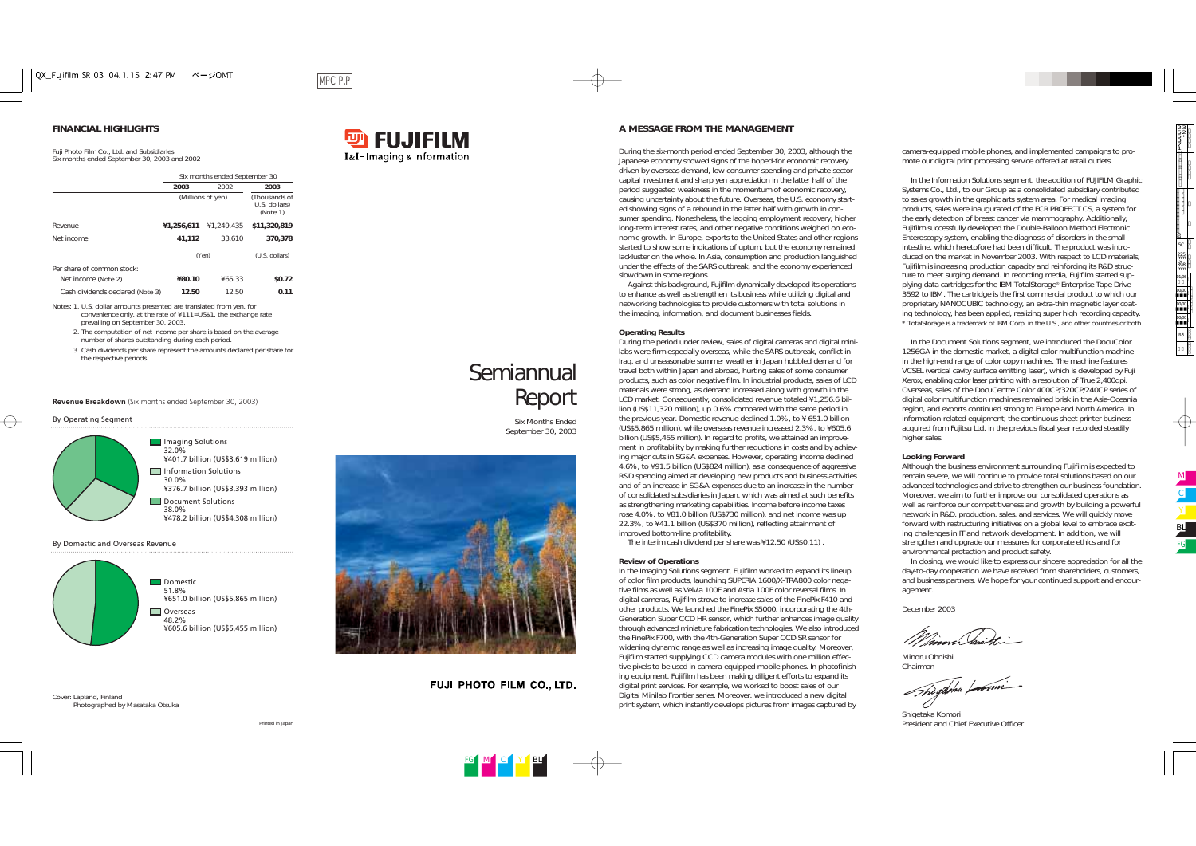|                                  | Six months ended September 30 |                                            |                |  |
|----------------------------------|-------------------------------|--------------------------------------------|----------------|--|
|                                  | 2003                          | 2002                                       | 2003           |  |
|                                  | (Millions of yen)             | (Thousands of<br>U.S. dollars)<br>(Note 1) |                |  |
| Revenue                          | ¥1,256,611                    | ¥1.249.435                                 | \$11,320,819   |  |
| Net income                       | 41,112                        | 33.610                                     | 370,378        |  |
|                                  | (Yen)                         |                                            | (U.S. dollars) |  |
| Per share of common stock:       |                               |                                            |                |  |
| Net income (Note 2)              | ¥80.10                        | ¥65.33                                     | \$0.72         |  |
| Cash dividends declared (Note 3) | 12.50                         | 12.50                                      | 0.11           |  |

- 2. The computation of net income per share is based on the average number of shares outstanding during each period.
- 3. Cash dividends per share represent the amounts declared per share for the respective periods.<br>**Semiannual**

Notes: 1. U.S. dollar amounts presented are translated from yen, for convenience only, at the rate of ¥111=US\$1, the exchange rate prevailing on September 30, 2003.

*Report*

*Six Months Ended September 30, 2003*

FUJI PHOTO FILM CO., LTD.

During the six-month period ended September 30, 2003, although the Japanese economy showed signs of the hoped-for economic recovery driven by overseas demand, low consumer spending and private-sector capital investment and sharp yen appreciation in the latter half of the period suggested weakness in the momentum of economic recovery, causing uncertainty about the future. Overseas, the U.S. economy started showing signs of a rebound in the latter half with growth in consumer spending. Nonetheless, the lagging employment recovery, higher long-term interest rates, and other negative conditions weighed on economic growth. In Europe, exports to the United States and other regions started to show some indications of upturn, but the economy remained lackluster on the whole. In Asia, consumption and production languished under the effects of the SARS outbreak, and the economy experienced slowdown in some regions.

Against this background, Fujifilm dynamically developed its operations to enhance as well as strengthen its business while utilizing digital and networking technologies to provide customers with total solutions in the imaging, information, and document businesses fields.

### **Operating Results**

During the period under review, sales of digital cameras and digital minilabs were firm especially overseas, while the SARS outbreak, conflict in Iraq, and unseasonable summer weather in Japan hobbled demand for travel both within Japan and abroad, hurting sales of some consumer products, such as color negative film. In industrial products, sales of LCD materials were strong, as demand increased along with growth in the LCD market. Consequently, consolidated revenue totaled ¥1,256.6 billion (US\$11,320 million), up 0.6% compared with the same period in the previous year. Domestic revenue declined 1.0%, to ¥ 651.0 billion (US\$5,865 million), while overseas revenue increased 2.3%, to ¥605.6 billion (US\$5,455 million). In regard to profits, we attained an improvement in profitability by making further reductions in costs and by achieving major cuts in SG&A expenses. However, operating income declined 4.6%, to ¥91.5 billion (US\$824 million), as a consequence of aggressive R&D spending aimed at developing new products and business activities and of an increase in SG&A expenses due to an increase in the number of consolidated subsidiaries in Japan, which was aimed at such benefits as strengthening marketing capabilities. Income before income taxes rose 4.0%, to ¥81.0 billion (US\$730 million), and net income was up 22.3%, to ¥41.1 billion (US\$370 million), reflecting attainment of improved bottom-line profitability.

The interim cash dividend per share was ¥12.50 (US\$0.11) .

### **Review of Operations**

In the Imaging Solutions segment, Fujifilm worked to expand its lineup of color film products, launching SUPERIA 1600/X-TRA800 color negative films as well as Velvia 100F and Astia 100F color reversal films. In digital cameras, Fujifilm strove to increase sales of the FinePix F410 and other products. We launched the FinePix S5000, incorporating the 4th-Generation Super CCD HR sensor, which further enhances image quality through advanced miniature fabrication technologies. We also introduced the FinePix F700, with the 4th-Generation Super CCD SR sensor for widening dynamic range as well as increasing image quality. Moreover, Fujifilm started supplying CCD camera modules with one million effective pixels to be used in camera-equipped mobile phones. In photofinishing equipment, Fujifilm has been making diligent efforts to expand its digital print services. For example, we worked to boost sales of our Digital Minilab Frontier series. Moreover, we introduced a new digital print system, which instantly develops pictures from images captured by

camera-equipped mobile phones, and implemented campaigns to promote our digital print processing service offered at retail outlets.

In the Information Solutions segment, the addition of FUJIFILM Graphic Systems Co., Ltd., to our Group as a consolidated subsidiary contributed to sales growth in the graphic arts system area. For medical imaging products, sales were inaugurated of the FCR PROFECT CS, a system for the early detection of breast cancer via mammography. Additionally, Fujifilm successfully developed the Double-Balloon Method Electronic Enteroscopy system, enabling the diagnosis of disorders in the small intestine, which heretofore had been difficult. The product was introduced on the market in November 2003. With respect to LCD materials, Fujifilm is increasing production capacity and reinforcing its R&D structure to meet surging demand. In recording media, Fujifilm started supplying data cartridges for the IBM TotalStorage® Enterprise Tape Drive 3592 to IBM. The cartridge is the first commercial product to which our proprietary NANOCUBIC technology, an extra-thin magnetic layer coating technology, has been applied, realizing super high recording capacity. \* TotalStorage is a trademark of IBM Corp. in the U.S., and other countries or both.

higher sales.

In the Document Solutions segment, we introduced the DocuColor 1256GA in the domestic market, a digital color multifunction machine in the high-end range of color copy machines. The machine features VCSEL (vertical cavity surface emitting laser), which is developed by Fuji Xerox, enabling color laser printing with a resolution of True 2,400dpi. Overseas, sales of the DocuCentre Color 400CP/320CP/240CP series of digital color multifunction machines remained brisk in the Asia-Oceania region, and exports continued strong to Europe and North America. In information-related equipment, the continuous sheet printer business acquired from Fujitsu Ltd. in the previous fiscal year recorded steadily

### **Looking Forward**

Although the business environment surrounding Fujifilm is expected to remain severe, we will continue to provide total solutions based on our advanced technologies and strive to strengthen our business foundation. Moreover, we aim to further improve our consolidated operations as well as reinforce our competitiveness and growth by building a powerful network in R&D, production, sales, and services. We will quickly move forward with restructuring initiatives on a global level to embrace exciting challenges in IT and network development. In addition, we will strengthen and upgrade our measures for corporate ethics and for environmental protection and product safety.

In closing, we would like to express our sincere appreciation for all the day-to-day cooperation we have received from shareholders, customers, and business partners. We hope for your continued support and encour-

agement.

December 2003

Minoru Ohnishi Chairman

The gather Learni

Shigetaka Komori

President and Chief Executive Officer

# **FINANCIAL HIGHLIGHTS**

Fuji Photo Film Co., Ltd. and Subsidiaries Six months ended September 30, 2003 and 2002

## **A MESSAGE FROM THE MANAGEMENT**



### **Revenue Breakdown** (Six months ended September 30, 2003)

#### By Operating Segment

### By Domestic and Overseas Revenue